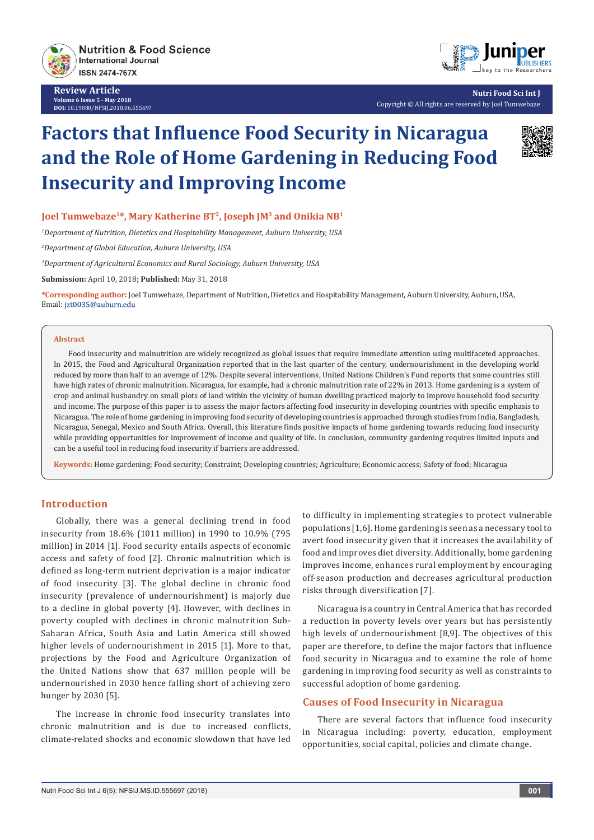

**Review Article Volume 6 Issue 5 - May 2018 DOI:** [10.19080/NFSIJ.2018.06.555697](http://dx.doi.org/10.19080/NFSIJ.2018.06.555697)



**Nutri Food Sci Int J** Copyright © All rights are reserved by Joel Tumwebaze

# **Factors that Influence Food Security in Nicaragua and the Role of Home Gardening in Reducing Food Insecurity and Improving Income**



## **Joel Tumwebaze1\*, Mary Katherine BT2, Joseph JM3 and Onikia NB1**

*1 Department of Nutrition, Dietetics and Hospitability Management, Auburn University, USA*

*2 Department of Global Education, Auburn University, USA*

*3 Department of Agricultural Economics and Rural Sociology, Auburn University, USA*

**Submission:** April 10, 2018**; Published:** May 31, 2018

**\*Corresponding author:** Joel Tumwebaze, Department of Nutrition, Dietetics and Hospitability Management, Auburn University, Auburn, USA, Email: jzt0035@auburn.edu

#### **Abstract**

Food insecurity and malnutrition are widely recognized as global issues that require immediate attention using multifaceted approaches. In 2015, the Food and Agricultural Organization reported that in the last quarter of the century, undernourishment in the developing world reduced by more than half to an average of 12%. Despite several interventions, United Nations Children's Fund reports that some countries still have high rates of chronic malnutrition. Nicaragua, for example, had a chronic malnutrition rate of 22% in 2013. Home gardening is a system of crop and animal husbandry on small plots of land within the vicinity of human dwelling practiced majorly to improve household food security and income. The purpose of this paper is to assess the major factors affecting food insecurity in developing countries with specific emphasis to Nicaragua. The role of home gardening in improving food security of developing countries is approached through studies from India, Bangladesh, Nicaragua, Senegal, Mexico and South Africa. Overall, this literature finds positive impacts of home gardening towards reducing food insecurity while providing opportunities for improvement of income and quality of life. In conclusion, community gardening requires limited inputs and can be a useful tool in reducing food insecurity if barriers are addressed.

**Keywords:** Home gardening; Food security; Constraint; Developing countries; Agriculture; Economic access; Safety of food; Nicaragua

## **Introduction**

Globally, there was a general declining trend in food insecurity from 18.6% (1011 million) in 1990 to 10.9% (795 million) in 2014 [1]. Food security entails aspects of economic access and safety of food [2]. Chronic malnutrition which is defined as long-term nutrient deprivation is a major indicator of food insecurity [3]. The global decline in chronic food insecurity (prevalence of undernourishment) is majorly due to a decline in global poverty [4]. However, with declines in poverty coupled with declines in chronic malnutrition Sub-Saharan Africa, South Asia and Latin America still showed higher levels of undernourishment in 2015 [1]. More to that, projections by the Food and Agriculture Organization of the United Nations show that 637 million people will be undernourished in 2030 hence falling short of achieving zero hunger by 2030 [5].

The increase in chronic food insecurity translates into chronic malnutrition and is due to increased conflicts, climate-related shocks and economic slowdown that have led to difficulty in implementing strategies to protect vulnerable populations [1,6]. Home gardening is seen as a necessary tool to avert food insecurity given that it increases the availability of food and improves diet diversity. Additionally, home gardening improves income, enhances rural employment by encouraging off-season production and decreases agricultural production risks through diversification [7].

Nicaragua is a country in Central America that has recorded a reduction in poverty levels over years but has persistently high levels of undernourishment [8,9]. The objectives of this paper are therefore, to define the major factors that influence food security in Nicaragua and to examine the role of home gardening in improving food security as well as constraints to successful adoption of home gardening.

## **Causes of Food Insecurity in Nicaragua**

There are several factors that influence food insecurity in Nicaragua including: poverty, education, employment opportunities, social capital, policies and climate change.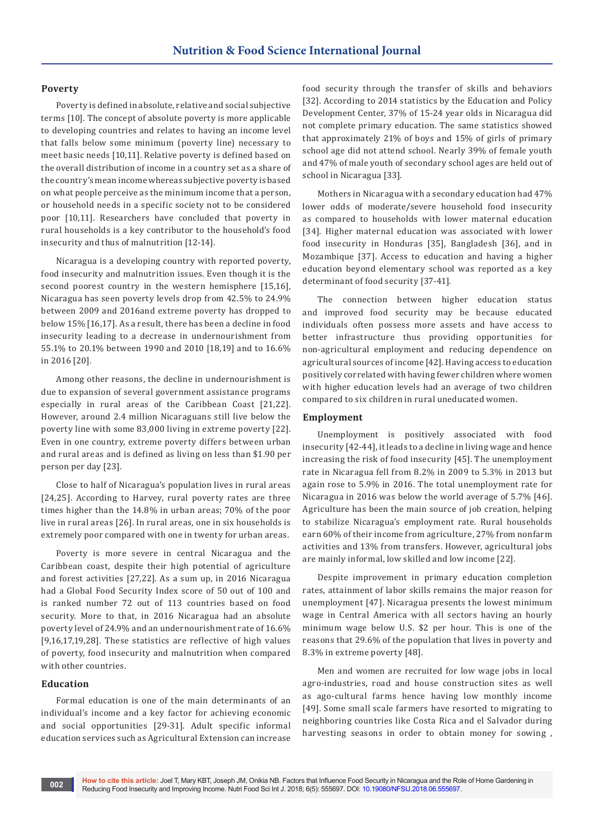#### **Poverty**

Poverty is defined in absolute, relative and social subjective terms [10]. The concept of absolute poverty is more applicable to developing countries and relates to having an income level that falls below some minimum (poverty line) necessary to meet basic needs [10,11]. Relative poverty is defined based on the overall distribution of income in a country set as a share of the country's mean income whereas subjective poverty is based on what people perceive as the minimum income that a person, or household needs in a specific society not to be considered poor [10,11]. Researchers have concluded that poverty in rural households is a key contributor to the household's food insecurity and thus of malnutrition [12-14].

Nicaragua is a developing country with reported poverty, food insecurity and malnutrition issues. Even though it is the second poorest country in the western hemisphere [15,16], Nicaragua has seen poverty levels drop from 42.5% to 24.9% between 2009 and 2016and extreme poverty has dropped to below 15% [16,17]. As a result, there has been a decline in food insecurity leading to a decrease in undernourishment from 55.1% to 20.1% between 1990 and 2010 [18,19] and to 16.6% in 2016 [20].

Among other reasons, the decline in undernourishment is due to expansion of several government assistance programs especially in rural areas of the Caribbean Coast [21,22]. However, around 2.4 million Nicaraguans still live below the poverty line with some 83,000 living in extreme poverty [22]. Even in one country, extreme poverty differs between urban and rural areas and is defined as living on less than \$1.90 per person per day [23].

Close to half of Nicaragua's population lives in rural areas [24,25]. According to Harvey, rural poverty rates are three times higher than the 14.8% in urban areas; 70% of the poor live in rural areas [26]. In rural areas, one in six households is extremely poor compared with one in twenty for urban areas.

Poverty is more severe in central Nicaragua and the Caribbean coast, despite their high potential of agriculture and forest activities [27,22]. As a sum up, in 2016 Nicaragua had a Global Food Security Index score of 50 out of 100 and is ranked number 72 out of 113 countries based on food security. More to that, in 2016 Nicaragua had an absolute poverty level of 24.9% and an undernourishment rate of 16.6% [9,16,17,19,28]. These statistics are reflective of high values of poverty, food insecurity and malnutrition when compared with other countries.

### **Education**

Formal education is one of the main determinants of an individual's income and a key factor for achieving economic and social opportunities [29-31]. Adult specific informal education services such as Agricultural Extension can increase

food security through the transfer of skills and behaviors [32]. According to 2014 statistics by the Education and Policy Development Center, 37% of 15-24 year olds in Nicaragua did not complete primary education. The same statistics showed that approximately 21% of boys and 15% of girls of primary school age did not attend school. Nearly 39% of female youth and 47% of male youth of secondary school ages are held out of school in Nicaragua [33].

Mothers in Nicaragua with a secondary education had 47% lower odds of moderate/severe household food insecurity as compared to households with lower maternal education [34]. Higher maternal education was associated with lower food insecurity in Honduras [35], Bangladesh [36], and in Mozambique [37]. Access to education and having a higher education beyond elementary school was reported as a key determinant of food security [37-41].

The connection between higher education status and improved food security may be because educated individuals often possess more assets and have access to better infrastructure thus providing opportunities for non-agricultural employment and reducing dependence on agricultural sources of income [42]. Having access to education positively correlated with having fewer children where women with higher education levels had an average of two children compared to six children in rural uneducated women.

#### **Employment**

Unemployment is positively associated with food insecurity [42-44], it leads to a decline in living wage and hence increasing the risk of food insecurity [45]. The unemployment rate in Nicaragua fell from 8.2% in 2009 to 5.3% in 2013 but again rose to 5.9% in 2016. The total unemployment rate for Nicaragua in 2016 was below the world average of 5.7% [46]. Agriculture has been the main source of job creation, helping to stabilize Nicaragua's employment rate. Rural households earn 60% of their income from agriculture, 27% from nonfarm activities and 13% from transfers. However, agricultural jobs are mainly informal, low skilled and low income [22].

Despite improvement in primary education completion rates, attainment of labor skills remains the major reason for unemployment [47]. Nicaragua presents the lowest minimum wage in Central America with all sectors having an hourly minimum wage below U.S. \$2 per hour. This is one of the reasons that 29.6% of the population that lives in poverty and 8.3% in extreme poverty [48].

Men and women are recruited for low wage jobs in local agro-industries, road and house construction sites as well as ago-cultural farms hence having low monthly income [49]. Some small scale farmers have resorted to migrating to neighboring countries like Costa Rica and el Salvador during harvesting seasons in order to obtain money for sowing ,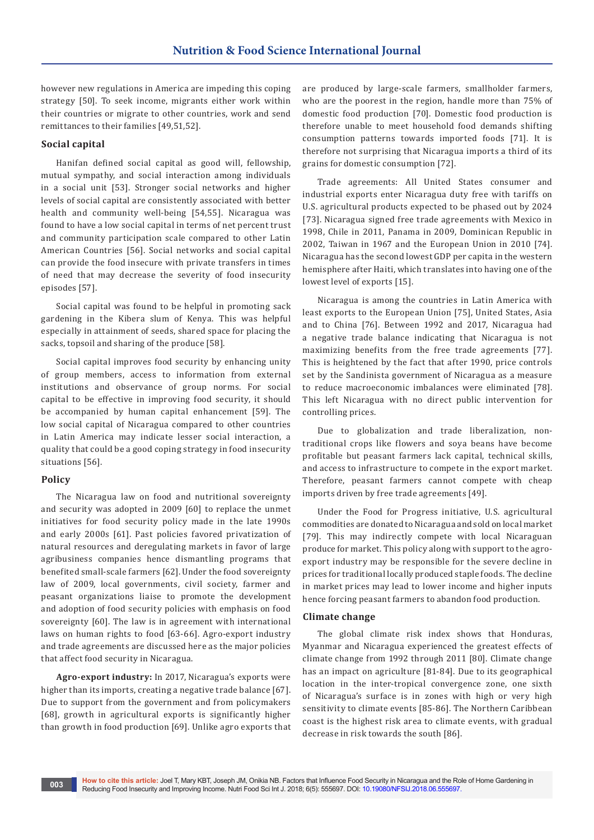however new regulations in America are impeding this coping strategy [50]. To seek income, migrants either work within their countries or migrate to other countries, work and send remittances to their families [49,51,52].

### **Social capital**

Hanifan defined social capital as good will, fellowship, mutual sympathy, and social interaction among individuals in a social unit [53]. Stronger social networks and higher levels of social capital are consistently associated with better health and community well-being [54,55]. Nicaragua was found to have a low social capital in terms of net percent trust and community participation scale compared to other Latin American Countries [56]. Social networks and social capital can provide the food insecure with private transfers in times of need that may decrease the severity of food insecurity episodes [57].

Social capital was found to be helpful in promoting sack gardening in the Kibera slum of Kenya. This was helpful especially in attainment of seeds, shared space for placing the sacks, topsoil and sharing of the produce [58].

Social capital improves food security by enhancing unity of group members, access to information from external institutions and observance of group norms. For social capital to be effective in improving food security, it should be accompanied by human capital enhancement [59]. The low social capital of Nicaragua compared to other countries in Latin America may indicate lesser social interaction, a quality that could be a good coping strategy in food insecurity situations [56].

## **Policy**

The Nicaragua law on food and nutritional sovereignty and security was adopted in 2009 [60] to replace the unmet initiatives for food security policy made in the late 1990s and early 2000s [61]. Past policies favored privatization of natural resources and deregulating markets in favor of large agribusiness companies hence dismantling programs that benefited small-scale farmers [62]. Under the food sovereignty law of 2009, local governments, civil society, farmer and peasant organizations liaise to promote the development and adoption of food security policies with emphasis on food sovereignty [60]. The law is in agreement with international laws on human rights to food [63-66]. Agro-export industry and trade agreements are discussed here as the major policies that affect food security in Nicaragua.

**Agro-export industry:** In 2017, Nicaragua's exports were higher than its imports, creating a negative trade balance [67]. Due to support from the government and from policymakers [68], growth in agricultural exports is significantly higher than growth in food production [69]. Unlike agro exports that are produced by large-scale farmers, smallholder farmers, who are the poorest in the region, handle more than 75% of domestic food production [70]. Domestic food production is therefore unable to meet household food demands shifting consumption patterns towards imported foods [71]. It is therefore not surprising that Nicaragua imports a third of its grains for domestic consumption [72].

Trade agreements: All United States consumer and industrial exports enter Nicaragua duty free with tariffs on U.S. agricultural products expected to be phased out by 2024 [73]. Nicaragua signed free trade agreements with Mexico in 1998, Chile in 2011, Panama in 2009, Dominican Republic in 2002, Taiwan in 1967 and the European Union in 2010 [74]. Nicaragua has the second lowest GDP per capita in the western hemisphere after Haiti, which translates into having one of the lowest level of exports [15].

Nicaragua is among the countries in Latin America with least exports to the European Union [75], United States, Asia and to China [76]. Between 1992 and 2017, Nicaragua had a negative trade balance indicating that Nicaragua is not maximizing benefits from the free trade agreements [77]. This is heightened by the fact that after 1990, price controls set by the Sandinista government of Nicaragua as a measure to reduce macroeconomic imbalances were eliminated [78]. This left Nicaragua with no direct public intervention for controlling prices.

Due to globalization and trade liberalization, nontraditional crops like flowers and soya beans have become profitable but peasant farmers lack capital, technical skills, and access to infrastructure to compete in the export market. Therefore, peasant farmers cannot compete with cheap imports driven by free trade agreements [49].

Under the Food for Progress initiative, U.S. agricultural commodities are donated to Nicaragua and sold on local market [79]. This may indirectly compete with local Nicaraguan produce for market. This policy along with support to the agroexport industry may be responsible for the severe decline in prices for traditional locally produced staple foods. The decline in market prices may lead to lower income and higher inputs hence forcing peasant farmers to abandon food production.

#### **Climate change**

The global climate risk index shows that Honduras, Myanmar and Nicaragua experienced the greatest effects of climate change from 1992 through 2011 [80]. Climate change has an impact on agriculture [81-84]. Due to its geographical location in the inter-tropical convergence zone, one sixth of Nicaragua's surface is in zones with high or very high sensitivity to climate events [85-86]. The Northern Caribbean coast is the highest risk area to climate events, with gradual decrease in risk towards the south [86].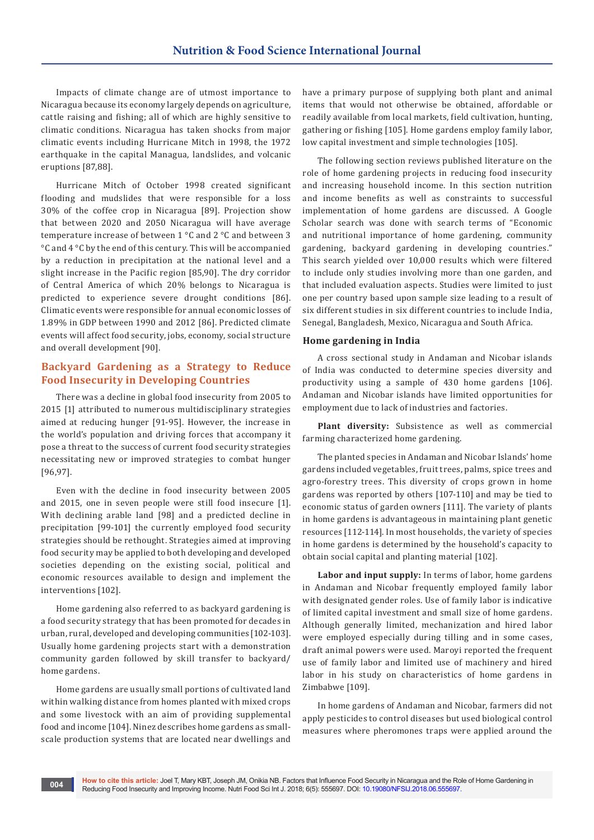Impacts of climate change are of utmost importance to Nicaragua because its economy largely depends on agriculture, cattle raising and fishing; all of which are highly sensitive to climatic conditions. Nicaragua has taken shocks from major climatic events including Hurricane Mitch in 1998, the 1972 earthquake in the capital Managua, landslides, and volcanic eruptions [87,88].

Hurricane Mitch of October 1998 created significant flooding and mudslides that were responsible for a loss 30% of the coffee crop in Nicaragua [89]. Projection show that between 2020 and 2050 Nicaragua will have average temperature increase of between 1 °C and 2 °C and between 3 °C and 4 °C by the end of this century. This will be accompanied by a reduction in precipitation at the national level and a slight increase in the Pacific region [85,90]. The dry corridor of Central America of which 20% belongs to Nicaragua is predicted to experience severe drought conditions [86]. Climatic events were responsible for annual economic losses of 1.89% in GDP between 1990 and 2012 [86]. Predicted climate events will affect food security, jobs, economy, social structure and overall development [90].

## **Backyard Gardening as a Strategy to Reduce Food Insecurity in Developing Countries**

There was a decline in global food insecurity from 2005 to 2015 [1] attributed to numerous multidisciplinary strategies aimed at reducing hunger [91-95]. However, the increase in the world's population and driving forces that accompany it pose a threat to the success of current food security strategies necessitating new or improved strategies to combat hunger [96,97].

Even with the decline in food insecurity between 2005 and 2015, one in seven people were still food insecure [1]. With declining arable land [98] and a predicted decline in precipitation [99-101] the currently employed food security strategies should be rethought. Strategies aimed at improving food security may be applied to both developing and developed societies depending on the existing social, political and economic resources available to design and implement the interventions [102].

Home gardening also referred to as backyard gardening is a food security strategy that has been promoted for decades in urban, rural, developed and developing communities [102-103]. Usually home gardening projects start with a demonstration community garden followed by skill transfer to backyard/ home gardens.

Home gardens are usually small portions of cultivated land within walking distance from homes planted with mixed crops and some livestock with an aim of providing supplemental food and income [104]. Ninez describes home gardens as smallscale production systems that are located near dwellings and

have a primary purpose of supplying both plant and animal items that would not otherwise be obtained, affordable or readily available from local markets, field cultivation, hunting, gathering or fishing [105]. Home gardens employ family labor, low capital investment and simple technologies [105].

The following section reviews published literature on the role of home gardening projects in reducing food insecurity and increasing household income. In this section nutrition and income benefits as well as constraints to successful implementation of home gardens are discussed. A Google Scholar search was done with search terms of "Economic and nutritional importance of home gardening, community gardening, backyard gardening in developing countries." This search yielded over 10,000 results which were filtered to include only studies involving more than one garden, and that included evaluation aspects. Studies were limited to just one per country based upon sample size leading to a result of six different studies in six different countries to include India, Senegal, Bangladesh, Mexico, Nicaragua and South Africa.

### **Home gardening in India**

A cross sectional study in Andaman and Nicobar islands of India was conducted to determine species diversity and productivity using a sample of 430 home gardens [106]. Andaman and Nicobar islands have limited opportunities for employment due to lack of industries and factories.

**Plant diversity:** Subsistence as well as commercial farming characterized home gardening.

The planted species in Andaman and Nicobar Islands' home gardens included vegetables, fruit trees, palms, spice trees and agro-forestry trees. This diversity of crops grown in home gardens was reported by others [107-110] and may be tied to economic status of garden owners [111]. The variety of plants in home gardens is advantageous in maintaining plant genetic resources [112-114]. In most households, the variety of species in home gardens is determined by the household's capacity to obtain social capital and planting material [102].

**Labor and input supply:** In terms of labor, home gardens in Andaman and Nicobar frequently employed family labor with designated gender roles. Use of family labor is indicative of limited capital investment and small size of home gardens. Although generally limited, mechanization and hired labor were employed especially during tilling and in some cases, draft animal powers were used. Maroyi reported the frequent use of family labor and limited use of machinery and hired labor in his study on characteristics of home gardens in Zimbabwe [109].

In home gardens of Andaman and Nicobar, farmers did not apply pesticides to control diseases but used biological control measures where pheromones traps were applied around the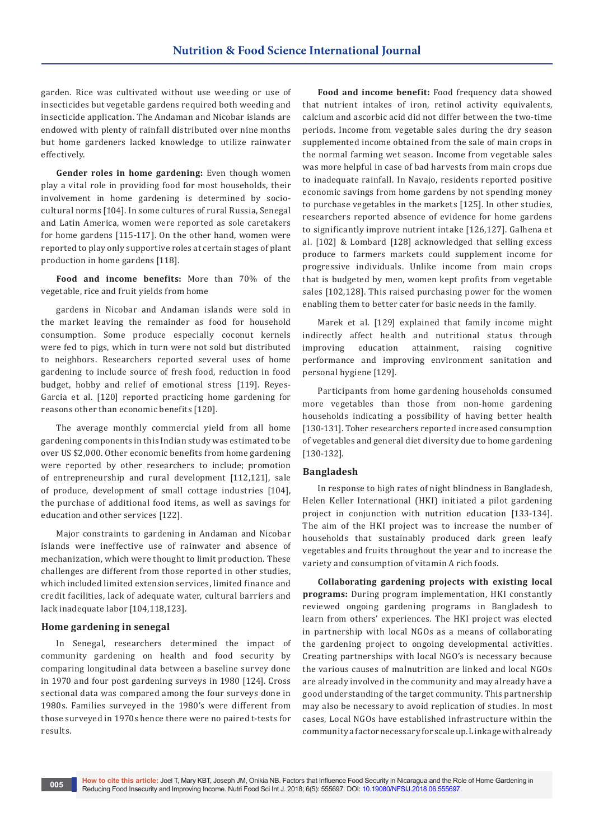garden. Rice was cultivated without use weeding or use of insecticides but vegetable gardens required both weeding and insecticide application. The Andaman and Nicobar islands are endowed with plenty of rainfall distributed over nine months but home gardeners lacked knowledge to utilize rainwater effectively.

**Gender roles in home gardening:** Even though women play a vital role in providing food for most households, their involvement in home gardening is determined by sociocultural norms [104]. In some cultures of rural Russia, Senegal and Latin America, women were reported as sole caretakers for home gardens [115-117]. On the other hand, women were reported to play only supportive roles at certain stages of plant production in home gardens [118].

**Food and income benefits:** More than 70% of the vegetable, rice and fruit yields from home

gardens in Nicobar and Andaman islands were sold in the market leaving the remainder as food for household consumption. Some produce especially coconut kernels were fed to pigs, which in turn were not sold but distributed to neighbors. Researchers reported several uses of home gardening to include source of fresh food, reduction in food budget, hobby and relief of emotional stress [119]. Reyes-Garcia et al. [120] reported practicing home gardening for reasons other than economic benefits [120].

The average monthly commercial yield from all home gardening components in this Indian study was estimated to be over US \$2,000. Other economic benefits from home gardening were reported by other researchers to include; promotion of entrepreneurship and rural development [112,121], sale of produce, development of small cottage industries [104], the purchase of additional food items, as well as savings for education and other services [122].

Major constraints to gardening in Andaman and Nicobar islands were ineffective use of rainwater and absence of mechanization, which were thought to limit production. These challenges are different from those reported in other studies, which included limited extension services, limited finance and credit facilities, lack of adequate water, cultural barriers and lack inadequate labor [104,118,123].

#### **Home gardening in senegal**

In Senegal, researchers determined the impact of community gardening on health and food security by comparing longitudinal data between a baseline survey done in 1970 and four post gardening surveys in 1980 [124]. Cross sectional data was compared among the four surveys done in 1980s. Families surveyed in the 1980's were different from those surveyed in 1970s hence there were no paired t-tests for results.

**Food and income benefit:** Food frequency data showed that nutrient intakes of iron, retinol activity equivalents, calcium and ascorbic acid did not differ between the two-time periods. Income from vegetable sales during the dry season supplemented income obtained from the sale of main crops in the normal farming wet season. Income from vegetable sales was more helpful in case of bad harvests from main crops due to inadequate rainfall. In Navajo, residents reported positive economic savings from home gardens by not spending money to purchase vegetables in the markets [125]. In other studies, researchers reported absence of evidence for home gardens to significantly improve nutrient intake [126,127]. Galhena et al. [102] & Lombard [128] acknowledged that selling excess produce to farmers markets could supplement income for progressive individuals. Unlike income from main crops that is budgeted by men, women kept profits from vegetable sales [102,128]. This raised purchasing power for the women enabling them to better cater for basic needs in the family.

Marek et al. [129] explained that family income might indirectly affect health and nutritional status through improving education attainment, raising cognitive performance and improving environment sanitation and personal hygiene [129].

Participants from home gardening households consumed more vegetables than those from non-home gardening households indicating a possibility of having better health [130-131]. Toher researchers reported increased consumption of vegetables and general diet diversity due to home gardening [130-132].

#### **Bangladesh**

In response to high rates of night blindness in Bangladesh, Helen Keller International (HKI) initiated a pilot gardening project in conjunction with nutrition education [133-134]. The aim of the HKI project was to increase the number of households that sustainably produced dark green leafy vegetables and fruits throughout the year and to increase the variety and consumption of vitamin A rich foods.

**Collaborating gardening projects with existing local programs:** During program implementation, HKI constantly reviewed ongoing gardening programs in Bangladesh to learn from others' experiences. The HKI project was elected in partnership with local NGOs as a means of collaborating the gardening project to ongoing developmental activities. Creating partnerships with local NGO's is necessary because the various causes of malnutrition are linked and local NGOs are already involved in the community and may already have a good understanding of the target community. This partnership may also be necessary to avoid replication of studies. In most cases, Local NGOs have established infrastructure within the community a factor necessary for scale up. Linkage with already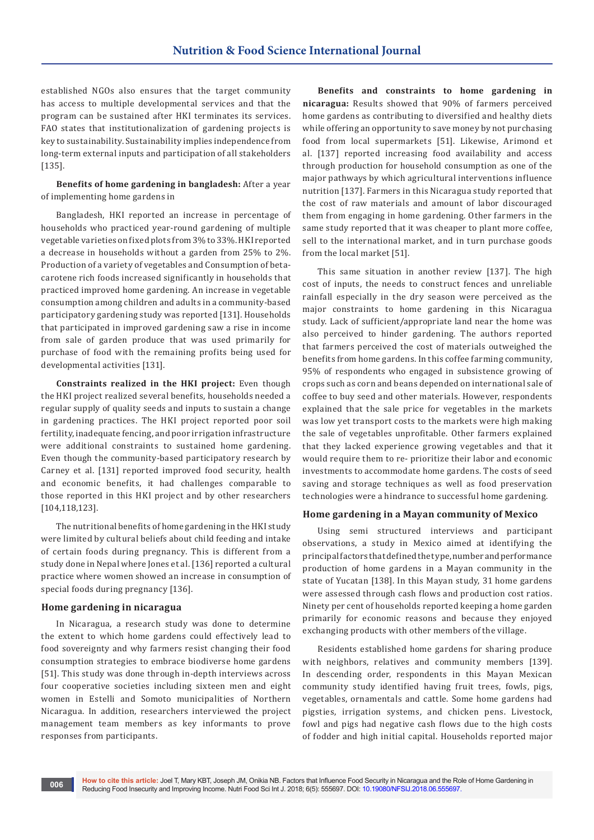established NGOs also ensures that the target community has access to multiple developmental services and that the program can be sustained after HKI terminates its services. FAO states that institutionalization of gardening projects is key to sustainability. Sustainability implies independence from long-term external inputs and participation of all stakeholders [135].

**Benefits of home gardening in bangladesh:** After a year of implementing home gardens in

Bangladesh, HKI reported an increase in percentage of households who practiced year-round gardening of multiple vegetable varieties on fixed plots from 3% to 33%. HKI reported a decrease in households without a garden from 25% to 2%. Production of a variety of vegetables and Consumption of betacarotene rich foods increased significantly in households that practiced improved home gardening. An increase in vegetable consumption among children and adults in a community-based participatory gardening study was reported [131]. Households that participated in improved gardening saw a rise in income from sale of garden produce that was used primarily for purchase of food with the remaining profits being used for developmental activities [131].

**Constraints realized in the HKI project:** Even though the HKI project realized several benefits, households needed a regular supply of quality seeds and inputs to sustain a change in gardening practices. The HKI project reported poor soil fertility, inadequate fencing, and poor irrigation infrastructure were additional constraints to sustained home gardening. Even though the community-based participatory research by Carney et al. [131] reported improved food security, health and economic benefits, it had challenges comparable to those reported in this HKI project and by other researchers [104,118,123].

The nutritional benefits of home gardening in the HKI study were limited by cultural beliefs about child feeding and intake of certain foods during pregnancy. This is different from a study done in Nepal where Jones et al. [136] reported a cultural practice where women showed an increase in consumption of special foods during pregnancy [136].

#### **Home gardening in nicaragua**

In Nicaragua, a research study was done to determine the extent to which home gardens could effectively lead to food sovereignty and why farmers resist changing their food consumption strategies to embrace biodiverse home gardens [51]. This study was done through in-depth interviews across four cooperative societies including sixteen men and eight women in Estelli and Somoto municipalities of Northern Nicaragua. In addition, researchers interviewed the project management team members as key informants to prove responses from participants.

**Benefits and constraints to home gardening in nicaragua:** Results showed that 90% of farmers perceived home gardens as contributing to diversified and healthy diets while offering an opportunity to save money by not purchasing food from local supermarkets [51]. Likewise, Arimond et al. [137] reported increasing food availability and access through production for household consumption as one of the major pathways by which agricultural interventions influence nutrition [137]. Farmers in this Nicaragua study reported that the cost of raw materials and amount of labor discouraged them from engaging in home gardening. Other farmers in the same study reported that it was cheaper to plant more coffee, sell to the international market, and in turn purchase goods from the local market [51].

This same situation in another review [137]. The high cost of inputs, the needs to construct fences and unreliable rainfall especially in the dry season were perceived as the major constraints to home gardening in this Nicaragua study. Lack of sufficient/appropriate land near the home was also perceived to hinder gardening. The authors reported that farmers perceived the cost of materials outweighed the benefits from home gardens. In this coffee farming community, 95% of respondents who engaged in subsistence growing of crops such as corn and beans depended on international sale of coffee to buy seed and other materials. However, respondents explained that the sale price for vegetables in the markets was low yet transport costs to the markets were high making the sale of vegetables unprofitable. Other farmers explained that they lacked experience growing vegetables and that it would require them to re- prioritize their labor and economic investments to accommodate home gardens. The costs of seed saving and storage techniques as well as food preservation technologies were a hindrance to successful home gardening.

#### **Home gardening in a Mayan community of Mexico**

Using semi structured interviews and participant observations, a study in Mexico aimed at identifying the principal factors that defined the type, number and performance production of home gardens in a Mayan community in the state of Yucatan [138]. In this Mayan study, 31 home gardens were assessed through cash flows and production cost ratios. Ninety per cent of households reported keeping a home garden primarily for economic reasons and because they enjoyed exchanging products with other members of the village.

Residents established home gardens for sharing produce with neighbors, relatives and community members [139]. In descending order, respondents in this Mayan Mexican community study identified having fruit trees, fowls, pigs, vegetables, ornamentals and cattle. Some home gardens had pigsties, irrigation systems, and chicken pens. Livestock, fowl and pigs had negative cash flows due to the high costs of fodder and high initial capital. Households reported major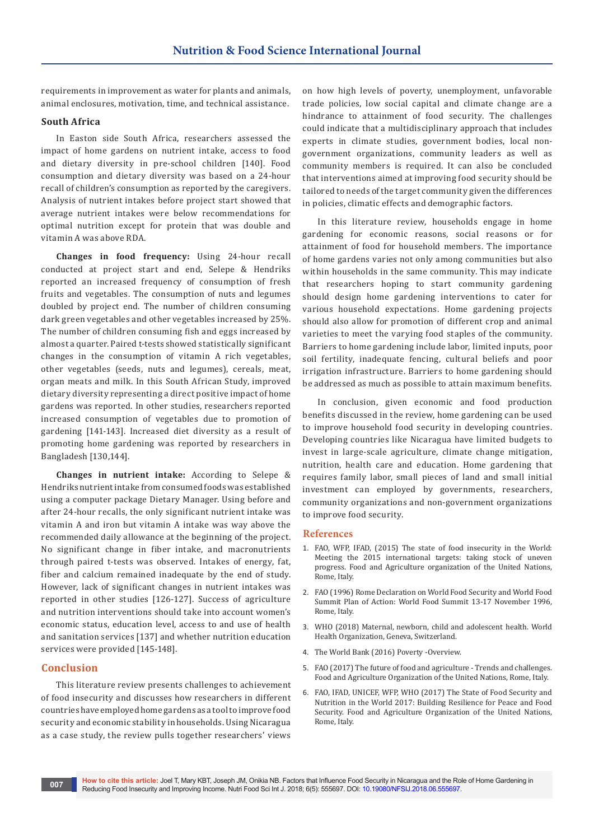requirements in improvement as water for plants and animals, animal enclosures, motivation, time, and technical assistance.

## **South Africa**

In Easton side South Africa, researchers assessed the impact of home gardens on nutrient intake, access to food and dietary diversity in pre-school children [140]. Food consumption and dietary diversity was based on a 24-hour recall of children's consumption as reported by the caregivers. Analysis of nutrient intakes before project start showed that average nutrient intakes were below recommendations for optimal nutrition except for protein that was double and vitamin A was above RDA.

**Changes in food frequency:** Using 24-hour recall conducted at project start and end, Selepe & Hendriks reported an increased frequency of consumption of fresh fruits and vegetables. The consumption of nuts and legumes doubled by project end. The number of children consuming dark green vegetables and other vegetables increased by 25%. The number of children consuming fish and eggs increased by almost a quarter. Paired t-tests showed statistically significant changes in the consumption of vitamin A rich vegetables, other vegetables (seeds, nuts and legumes), cereals, meat, organ meats and milk. In this South African Study, improved dietary diversity representing a direct positive impact of home gardens was reported. In other studies, researchers reported increased consumption of vegetables due to promotion of gardening [141-143]. Increased diet diversity as a result of promoting home gardening was reported by researchers in Bangladesh [130,144].

**Changes in nutrient intake:** According to Selepe & Hendriks nutrient intake from consumed foods was established using a computer package Dietary Manager. Using before and after 24-hour recalls, the only significant nutrient intake was vitamin A and iron but vitamin A intake was way above the recommended daily allowance at the beginning of the project. No significant change in fiber intake, and macronutrients through paired t-tests was observed. Intakes of energy, fat, fiber and calcium remained inadequate by the end of study. However, lack of significant changes in nutrient intakes was reported in other studies [126-127]. Success of agriculture and nutrition interventions should take into account women's economic status, education level, access to and use of health and sanitation services [137] and whether nutrition education services were provided [145-148].

#### **Conclusion**

This literature review presents challenges to achievement of food insecurity and discusses how researchers in different countries have employed home gardens as a tool to improve food security and economic stability in households. Using Nicaragua as a case study, the review pulls together researchers' views

on how high levels of poverty, unemployment, unfavorable trade policies, low social capital and climate change are a hindrance to attainment of food security. The challenges could indicate that a multidisciplinary approach that includes experts in climate studies, government bodies, local nongovernment organizations, community leaders as well as community members is required. It can also be concluded that interventions aimed at improving food security should be tailored to needs of the target community given the differences in policies, climatic effects and demographic factors.

In this literature review, households engage in home gardening for economic reasons, social reasons or for attainment of food for household members. The importance of home gardens varies not only among communities but also within households in the same community. This may indicate that researchers hoping to start community gardening should design home gardening interventions to cater for various household expectations. Home gardening projects should also allow for promotion of different crop and animal varieties to meet the varying food staples of the community. Barriers to home gardening include labor, limited inputs, poor soil fertility, inadequate fencing, cultural beliefs and poor irrigation infrastructure. Barriers to home gardening should be addressed as much as possible to attain maximum benefits.

In conclusion, given economic and food production benefits discussed in the review, home gardening can be used to improve household food security in developing countries. Developing countries like Nicaragua have limited budgets to invest in large-scale agriculture, climate change mitigation, nutrition, health care and education. Home gardening that requires family labor, small pieces of land and small initial investment can employed by governments, researchers, community organizations and non-government organizations to improve food security.

#### **References**

- 1. FAO, WFP, IFAD, (2015) The state of food insecurity in the World: Meeting the 2015 international targets: taking stock of uneven progress. Food and Agriculture organization of the United Nations, Rome, Italy.
- 2. FAO (1996) Rome Declaration on World Food Security and World Food Summit Plan of Action: World Food Summit 13-17 November 1996, Rome, Italy.
- 3. [WHO \(2018\) Maternal, newborn, child and adolescent health. World](http://www.who.int/maternal_child_adolescent/topics/child/malnutrition/en/)  [Health Organization, Geneva, Switzerland.](http://www.who.int/maternal_child_adolescent/topics/child/malnutrition/en/)
- 4. [The World Bank \(2016\) Poverty -Overview.](http://www.worldbank.org/en/topic/poverty/overview)
- 5. FAO (2017) The future of food and agriculture Trends and challenges. Food and Agriculture Organization of the United Nations, Rome, Italy.
- 6. FAO, IFAD, UNICEF, WFP, WHO (2017) The State of Food Security and Nutrition in the World 2017: Building Resilience for Peace and Food Security. Food and Agriculture Organization of the United Nations, Rome, Italy.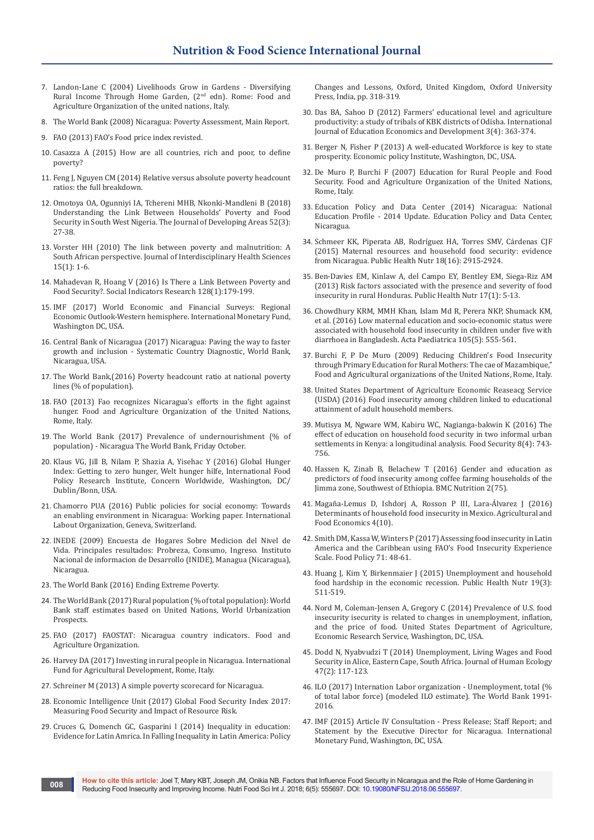- 7. Landon-Lane C (2004) Livelihoods Grow in Gardens Diversifying Rural Income Through Home Garden, (2nd edn). Rome: Food and Agriculture Organization of the united nations, Italy.
- 8. [The World Bank \(2008\) Nicaragua: Poverty Assessment, Main Report.](http://documents.worldbank.org/curated/en/235491468297893170/Main-report)
- 9. FAO (2013) FAO's Food price index revisted.
- 10. [Casazza A \(2015\) How are all countries, rich and poor, to define](http://www.undp.org/content/undp/en/home/blog/2015/10/16/How-are-all-countries-rich-and-poor-to-define-poverty-/)  [poverty?](http://www.undp.org/content/undp/en/home/blog/2015/10/16/How-are-all-countries-rich-and-poor-to-define-poverty-/)
- 11. [Feng J, Nguyen CM \(2014\) Relative versus absolute poverty headcount](https://blogs.worldbank.org/opendata/relative-versus-absolute-poverty-headcount-ratios-full-breakdown)  [ratios: the full breakdown.](https://blogs.worldbank.org/opendata/relative-versus-absolute-poverty-headcount-ratios-full-breakdown)
- 12. [Omotoya OA, Ogunniyi IA, Tchereni MHB, Nkonki-Mandleni B \(2018\)](https://muse.jhu.edu/article/677931)  [Understanding the Link Between Households' Poverty and Food](https://muse.jhu.edu/article/677931)  [Security in South West Nigeria. The Journal of Developing Areas 52\(3\):](https://muse.jhu.edu/article/677931)  [27-38.](https://muse.jhu.edu/article/677931)
- 13. [Vorster HH \(2010\) The link between poverty and malnutrition: A](https://hsag.co.za/index.php/HSAG/article/view/435/482)  [South African perspective. Journal of Interdisciplinary Health Sciences](https://hsag.co.za/index.php/HSAG/article/view/435/482)  [15\(1\): 1-6.](https://hsag.co.za/index.php/HSAG/article/view/435/482)
- 14. [Mahadevan R, Hoang V \(2016\) Is There a Link Between Poverty and](https://link.springer.com/article/10.1007/s11205-015-1025-3)  [Food Security?. Social Indicators Research 128\(1\):179-199.](https://link.springer.com/article/10.1007/s11205-015-1025-3)
- 15. IMF (2017) World Economic and Financial Surveys: Regional Economic Outlook-Western hemisphere. International Monetary Fund, Washington DC, USA.
- 16. Central Bank of Nicaragua (2017) Nicaragua: Paving the way to faster growth and inclusion - Systematic Country Diagnostic, World Bank, Nicaragua, USA.
- 17. [The World Bank,\(2016\) Poverty headcount ratio at national poverty](https://data.worldbank.org/indicator/SI.POV.NAHC?locations=NI)  [lines \(% of population\).](https://data.worldbank.org/indicator/SI.POV.NAHC?locations=NI)
- 18. FAO (2013) Fao recognizes Nicaragua's efforts in the fight against hunger. Food and Agriculture Organization of the United Nations, Rome, Italy.
- 19. [The World Bank \(2017\) Prevalence of undernourishment \(% of](https://data.worldbank.org/indicator/SN.ITK.DEFC.ZS?locations=NI)  [population\) - Nicaragua The World Bank, Friday October.](https://data.worldbank.org/indicator/SN.ITK.DEFC.ZS?locations=NI)
- 20. Klaus VG, Jill B, Nilam P, Shazia A, Yisehac Y (2016) Global Hunger Index: Getting to zero hunger, Welt hunger hilfe, International Food Policy Research Institute, Concern Worldwide, Washington, DC/ Dublin/Bonn, USA.
- 21. Chamorro PUA (2016) Public policies for social economy: Towards an enabling environment in Nicaragua: Working paper. International Labout Organization, Geneva, Switzerland.
- 22. INEDE (2009) Encuesta de Hogares Sobre Medicion del Nivel de Vida. Principales resultados: Probreza, Consumo, Ingreso. Instituto Nacional de informacion de Desarrollo (INIDE), Managua (Nicaragua), Nicaragua.
- 23. The World Bank (2016) Ending Extreme Poverty.
- 24. [The World Bank \(2017\) Rural population \(% of total population\): World](https://data.worldbank.org/indicator/SP.RUR.TOTL.ZS?locations=NI)  [Bank staff estimates based on United Nations, World Urbanization](https://data.worldbank.org/indicator/SP.RUR.TOTL.ZS?locations=NI)  **Prospects**
- 25. FAO (2017) FAOSTAT: Nicaragua country indicators. Food and Agriculture Organization.
- 26. Harvey DA (2017) Investing in rural people in Nicaragua. International Fund for Agricultural Development, Rome, Italy.
- 27. [Schreiner M \(2013\) A simple poverty scorecard for Nicaragua.](http://www.simplepovertyscorecard.com/NIC_2009_ENG.pdf)
- 28. [Economic Intelligence Unit \(2017\) Global Food Security Index 2017:](https://foodsecurityindex.eiu.com/)  [Measuring Food Security and Impact of Resource Risk.](https://foodsecurityindex.eiu.com/)
- 29. Cruces G, Domench GC, Gasparini l (2014) Inequality in education: Evidence for Latin Amrica. In Falling Inequality in Latin America: Policy

Changes and Lessons, Oxford, United Kingdom, Oxford University Press, India, pp. 318-319.

- 30. [Das BA, Sahoo D \(2012\) Farmers' educational level and agriculture](https://www.inderscienceonline.com/doi/abs/10.1504/IJEED.2012.052312)  [productivity: a study of tribals of KBK districts of Odisha. International](https://www.inderscienceonline.com/doi/abs/10.1504/IJEED.2012.052312)  [Journal of Education Economics and Development 3\(4\): 363-374.](https://www.inderscienceonline.com/doi/abs/10.1504/IJEED.2012.052312)
- 31. Berger N, Fisher P (2013) A well-educated Workforce is key to state prosperity. Economic policy Institute, Washington, DC, USA.
- 32. De Muro P, Burchi F (2007) Education for Rural People and Food Security. Food and Agriculture Organization of the United Nations, Rome, Italy.
- 33. Education Policy and Data Center (2014) Nicaragua: National Education Profile - 2014 Update. Education Policy and Data Center, Nicaragua.
- 34. [Schmeer KK, Piperata AB, Rodríguez HA, Torres SMV, Cárdenas CJF](https://www.ncbi.nlm.nih.gov/pubmed/25563386)  [\(2015\) Maternal resources and household food security: evidence](https://www.ncbi.nlm.nih.gov/pubmed/25563386)  [from Nicaragua. Public Health Nutr 18\(16\): 2915-2924.](https://www.ncbi.nlm.nih.gov/pubmed/25563386)
- 35. [Ben-Davies EM, Kinlaw A, del Campo EY, Bentley EM](https://www.ncbi.nlm.nih.gov/pubmed/23915678), Siega-Riz AM [\(2013\) Risk factors associated with the presence and severity of food](https://www.ncbi.nlm.nih.gov/pubmed/23915678)  [insecurity in rural Honduras. Public Health Nutr 17\(1\): 5-13.](https://www.ncbi.nlm.nih.gov/pubmed/23915678)
- 36. [Chowdhury KRM, MMH Khan, Islam Md R, Perera NKP, Shumack KM,](https://onlinelibrary.wiley.com/doi/abs/10.1111/apa.13325)  [et al. \(2016\) Low maternal education and socio-economic status were](https://onlinelibrary.wiley.com/doi/abs/10.1111/apa.13325)  [associated with household food insecurity in children under five with](https://onlinelibrary.wiley.com/doi/abs/10.1111/apa.13325)  [diarrhoea in Bangladesh. Acta Paediatrica 105\(5\): 555-561.](https://onlinelibrary.wiley.com/doi/abs/10.1111/apa.13325)
- 37. Burchi F, P De Muro (2009) Reducing Children's Food Insecurity through Primary Education for Rural Mothers: The cae of Mazambique," Food and Agricultural organizations of the United Nations, Rome, Italy.
- 38. [United States Department of Agriculture Economic Reaseacg Service](https://www.ers.usda.gov/data-products/chart-gallery/gallery/chart-detail/?chartId=77204)  [\(USDA\) \(2016\) Food insecurity among children linked to educational](https://www.ers.usda.gov/data-products/chart-gallery/gallery/chart-detail/?chartId=77204)  [attainment of adult household members.](https://www.ers.usda.gov/data-products/chart-gallery/gallery/chart-detail/?chartId=77204)
- 39. Mutisya M, Ngware WM, Kabiru WC, Nagianga-bakwin K (2016) The effect of education on household food security in two informal urban settlements in Kenya: a longitudinal analysis. Food Security 8(4): 743- 756.
- 40. [Hassen K, Zinab B, Belachew T \(2016\) Gender and education as](https://bmcnutr.biomedcentral.com/articles/10.1186/s40795-016-0116-0)  [predictors of food insecurity among coffee farming households of the](https://bmcnutr.biomedcentral.com/articles/10.1186/s40795-016-0116-0)  [Jimma zone, Southwest of Ethiopia. BMC Nutrition 2\(75\).](https://bmcnutr.biomedcentral.com/articles/10.1186/s40795-016-0116-0)
- 41. [Magaña-Lemus D, Ishdorj A, Rosson P III, Lara-Álvarez J \(2016\)](https://link.springer.com/article/10.1186/s40100-016-0054-9)  [Determinants of household food insecurity in Mexico. Agricultural and](https://link.springer.com/article/10.1186/s40100-016-0054-9)  [Food Economics 4\(10\).](https://link.springer.com/article/10.1186/s40100-016-0054-9)
- 42. [Smith DM, Kassa W, Winters P \(2017\) Assessing food insecurity in Latin](https://www.sciencedirect.com/science/article/pii/S0306919216303724)  [America and the Caribbean using FAO's Food Insecurity Experience](https://www.sciencedirect.com/science/article/pii/S0306919216303724)  [Scale. Food Policy 71: 48-61.](https://www.sciencedirect.com/science/article/pii/S0306919216303724)
- 43. [Huang J, Kim Y, Birkenmaier J \(2015\) Unemployment and household](https://www.ncbi.nlm.nih.gov/pubmed/26028335)  [food hardship in the economic recession. Public Health Nutr 19\(3\):](https://www.ncbi.nlm.nih.gov/pubmed/26028335)  [511-519.](https://www.ncbi.nlm.nih.gov/pubmed/26028335)
- 44. Nord M, Coleman-Jensen A, Gregory C (2014) Prevalence of U.S. food insecurity isecurity is related to changes in unemployment, inflation, and the price of food. United States Department of Agriculture, Economic Research Service, Washington, DC, USA.
- 45. Dodd N, Nyabvudzi T (2014) Unemployment, Living Wages and Food Security in Alice, Eastern Cape, South Africa. Journal of Human Ecology 47(2): 117-123.
- 46. [ILO \(2017\) Internation Labor organization Unemployment, total \(%](https://data.worldbank.org/indicator/SL.UEM.TOTL.ZS)  [of total labor force\) \(modeled ILO estimate\). The World Bank 1991-](https://data.worldbank.org/indicator/SL.UEM.TOTL.ZS) [2016.](https://data.worldbank.org/indicator/SL.UEM.TOTL.ZS)
- 47. IMF (2015) Article IV Consultation Press Release; Staff Report; and Statement by the Executive Director for Nicaragua. International Monetary Fund, Washington, DC, USA.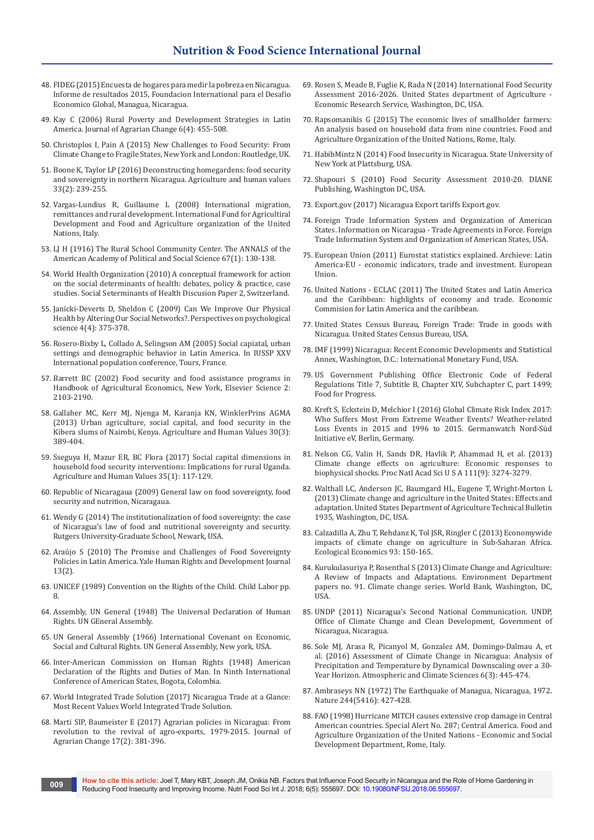- 48. FIDEG (2015) Encuesta de hogares para medir la pobreza en Nicaragua. Informe de resultados 2015, Foundacion International para el Desafio Economico Global, Managua, Nicaragua.
- 49. [Kay C \(2006\) Rural Poverty and Development Strategies in Latin](https://onlinelibrary.wiley.com/doi/abs/10.1111/j.1471-0366.2006.00132.x)  [America. Journal of Agrarian Change 6\(4\): 455-508.](https://onlinelibrary.wiley.com/doi/abs/10.1111/j.1471-0366.2006.00132.x)
- 50. Christoplos I, Pain A (2015) New Challenges to Food Security: From Climate Change to Fragile States, New York and London: Routledge, UK.
- 51. [Boone K, Taylor LP \(2016\) Deconstructing homegardens: food security](https://link.springer.com/article/10.1007/s10460-015-9604-0)  [and sovereignty in northern Nicaragua. Agriculture and human values](https://link.springer.com/article/10.1007/s10460-015-9604-0)  [33\(2\): 239-255.](https://link.springer.com/article/10.1007/s10460-015-9604-0)
- 52. Vargas-Lundius R, Guillaume L (2008) International migration, remittances and rural development. International Fund for Agricultiral Development and Food and Agriculture organization of the United Nations, Italy.
- 53. [LJ H \(1916\) The Rural School Community Center. The ANNALS of the](http://journals.sagepub.com/doi/10.1177/000271621606700118)  [American Academy of Political and Social Science 67\(1\): 130-138.](http://journals.sagepub.com/doi/10.1177/000271621606700118)
- 54. World Health Organization (2010) A conceptual framework for action on the social determinants of health: debates, policy & practice, case studies. Social Seterminants of Health Discusion Paper 2, Switzerland.
- 55. [Janicki-Deverts D, Sheldon C \(2009\) Can We Improve Our Physical](https://www.ncbi.nlm.nih.gov/pubmed/20161087/)  [Health by Altering Our Social Networks?. Perspectives on psychological](https://www.ncbi.nlm.nih.gov/pubmed/20161087/)  [science 4\(4\): 375-378.](https://www.ncbi.nlm.nih.gov/pubmed/20161087/)
- 56. Rosero-Bixby L, Collado A, Selingson AM (2005) Social capiatal, urban settings and demographic behavior in Latin America. In IUSSP XXV International population conference, Tours, France.
- 57. [Barrett BC \(2002\) Food security and food assistance programs in](https://ideas.repec.org/h/eee/hagchp/4-40.html)  [Handbook of Agricultural Economics, New York, Elsevier Science 2:](https://ideas.repec.org/h/eee/hagchp/4-40.html)  [2103-2190.](https://ideas.repec.org/h/eee/hagchp/4-40.html)
- 58. [Gallaher MC, Kerr MJ, Njenga M, Karanja KN, WinklerPrins AGMA](https://link.springer.com/article/10.1007/s10460-013-9425-y)  [\(2013\) Urban agriculture, social capital, and food security in the](https://link.springer.com/article/10.1007/s10460-013-9425-y)  [Kibera slums of Nairobi, Kenya. Agriculture and Human Values 30\(3\):](https://link.springer.com/article/10.1007/s10460-013-9425-y)  [389-404.](https://link.springer.com/article/10.1007/s10460-013-9425-y)
- 59. [Sseguya H, Mazur ER, BC Flora \(2017\) Social capital dimensions in](https://ideas.repec.org/a/spr/agrhuv/v35y2018i1d10.1007_s10460-017-9805-9.html)  [household food security interventions: Implications for rural Uganda.](https://ideas.repec.org/a/spr/agrhuv/v35y2018i1d10.1007_s10460-017-9805-9.html)  [Agriculture and Human Values 35\(1\): 117-129.](https://ideas.repec.org/a/spr/agrhuv/v35y2018i1d10.1007_s10460-017-9805-9.html)
- 60. Republic of Nicaragaua (2009) General law on food sovereignty, food security and nutrition, Nicaragaua.
- 61. Wendy G (2014) The institutionalization of food sovereignty: the case of Nicaragua's law of food and nutritional sovereignty and security. Rutgers University-Graduate School, Newark, USA.
- 62. [Araújo S \(2010\) The Promise and Challenges of Food Sovereignty](http://digitalcommons.law.yale.edu/yhrdlj/vol13/iss2/6/)  [Policies in Latin America. Yale Human Rights and Development Journal](http://digitalcommons.law.yale.edu/yhrdlj/vol13/iss2/6/)  [13\(2\).](http://digitalcommons.law.yale.edu/yhrdlj/vol13/iss2/6/)
- 63. UNICEF (1989) Convention on the Rights of the Child. Child Labor pp. 8.
- 64. Assembly, UN General (1948) The Universal Declaration of Human Rights. UN GEneral Assembly.
- 65. UN General Assembly (1966) International Covenant on Economic, Social and Cultural Rights. UN General Assembly, New york, USA.
- 66. Inter-American Commission on Human Rights (1948) American Declaration of the Rights and Duties of Man. In Ninth International Conference of American States, Bogota, Colombia.
- 67. [World Integrated Trade Solution \(2017\) Nicaragua Trade at a Glance:](https://wits.worldbank.org/CountrySnapshot/en/NIC/textview)  [Most Recent Values World Integrated Trade Solution.](https://wits.worldbank.org/CountrySnapshot/en/NIC/textview)
- 68. [Marti SIP, Baumeister E \(2017\) Agrarian policies in Nicaragua: From](https://onlinelibrary.wiley.com/doi/abs/10.1111/joac.12214)  [revolution to the revival of agro-exports, 1979-2015. Journal of](https://onlinelibrary.wiley.com/doi/abs/10.1111/joac.12214)  [Agrarian Change 17\(2\): 381-396.](https://onlinelibrary.wiley.com/doi/abs/10.1111/joac.12214)
- 69. Rosen S, Meade B, Fuglie K, Rada N (2014) International Food Security Assessment 2016-2026. United States department of Agriculture Economic Research Service, Washington, DC, USA.
- 70. Rapsomanikis G (2015) The economic lives of smallholder farmers: An analysis based on household data from nine countries. Food and Agriculture Organization of the United Nations, Rome, Italy.
- 71. HabibMintz N (2014) Food Insecurity in Nicaragua. State University of New York at Plattsburg, USA.
- 72. Shapouri S (2010) Food Security Assessment 2010-20. DIANE Publishing, Washington DC, USA.
- 73. [Export.gov \(2017\) Nicaragua Export tariffs Export.gov.](https://www.export.gov/apex/article2?id=Nicaragua-Import-Tariffs)
- 74. [Foreign Trade Information System and Organization of American](http://www.sice.oas.org/ctyindex/NIC/NICagreements_e.asp)  [States. Information on Nicaragua - Trade Agreements in Force. Foreign](http://www.sice.oas.org/ctyindex/NIC/NICagreements_e.asp)  [Trade Information System and Organization of American States, USA.](http://www.sice.oas.org/ctyindex/NIC/NICagreements_e.asp)
- 75. European Union (2011) Eurostat statistics explained. Archieve: Latin America-EU - economic indicators, trade and investment. European Union.
- 76. United Nations ECLAC (2011) The United States and Latin America and the Caribbean: highlights of economy and trade. Economic Commision for Latin America and the caribbean.
- 77. [United States Census Bureau, Foreign Trade: Trade in goods with](https://www.census.gov/foreign-trade/balance/c2190.html)  [Nicaragua. United States Census Bureau, USA.](https://www.census.gov/foreign-trade/balance/c2190.html)
- 78. IMF (1999) Nicaragua: Recent Economic Developments and Statistical Annex, Washington, D.C.: International Monetary Fund, USA.
- 79. US Government Publishing Office Electronic Code of Federal Regulations Title 7, Subtitle B, Chapter XIV, Subchapter C, part 1499; Food for Progress.
- 80. Kreft S, Eckstein D, Melchior I (2016) Global Climate Risk Index 2017: Who Suffers Most From Extreme Weather Events? Weather-related Loss Events in 2015 and 1996 to 2015. Germanwatch Nord-Süd Initiative eV, Berlin, Germany.
- 81. [Nelson CG, Valin H, Sands DR, Havlik P, Ahammad H, et al. \(2013\)](https://www.ncbi.nlm.nih.gov/pubmed/24344285)  [Climate change effects on agriculture: Economic responses to](https://www.ncbi.nlm.nih.gov/pubmed/24344285)  [biophysical shocks. Proc Natl Acad Sci U S A 111\(9\): 3274-3279.](https://www.ncbi.nlm.nih.gov/pubmed/24344285)
- 82. Walthall LC, Anderson JC, Baumgard HL, Eugene T, Wright-Morton L (2013) Climate change and agriculture in the United States: Effects and adaptation. United States Department of Agriculture Technical Bulletin 1935, Washington, DC, USA.
- 83. [Calzadilla A, Zhu T, Rehdanz K, Tol JSR, Ringler C \(2013\) Economywide](https://www.sciencedirect.com/science/article/pii/S092180091300164X)  [impacts of climate change on agriculture in Sub-Saharan Africa.](https://www.sciencedirect.com/science/article/pii/S092180091300164X)  [Ecological Economics 93: 150-165.](https://www.sciencedirect.com/science/article/pii/S092180091300164X)
- 84. Kurukulasuriya P, Rosenthal S (2013) Climate Change and Agriculture: A Review of Impacts and Adaptations. Environment Department papers no. 91. Climate change series. World Bank, Washington, DC, USA.
- 85. UNDP (2011) Nicaragua's Second National Communication. UNDP, Office of Climate Change and Clean Development, Government of Nicaragua, Nicaragua.
- 86. [Sole MJ, Arasa R, Picanyol M, Gonzalez AM, Domingo-Dalmau A, et](https://www.scirp.org/Journal/PaperInformation.aspx?PaperID=68368)  [al. \(2016\) Assessment of Climate Change in Nicaragua: Analysis of](https://www.scirp.org/Journal/PaperInformation.aspx?PaperID=68368)  [Precipitation and Temperature by Dynamical Downscaling over a 30-](https://www.scirp.org/Journal/PaperInformation.aspx?PaperID=68368) [Year Horizon. Atmospheric and Climate Sciences 6\(3\): 445-474.](https://www.scirp.org/Journal/PaperInformation.aspx?PaperID=68368)
- 87. [Ambraseys NN \(1972\) The Earthquake of Managua, Nicaragua, 1972.](https://www.nature.com/articles/244427a0)  [Nature 244\(5416\): 427-428.](https://www.nature.com/articles/244427a0)
- 88. FAO (1998) Hurricane MITCH causes extensive crop damage in Central American countries. Special Alert No. 287; Central America. Food and Agriculture Organization of the United Nations - Economic and Social Development Department, Rome, Italy.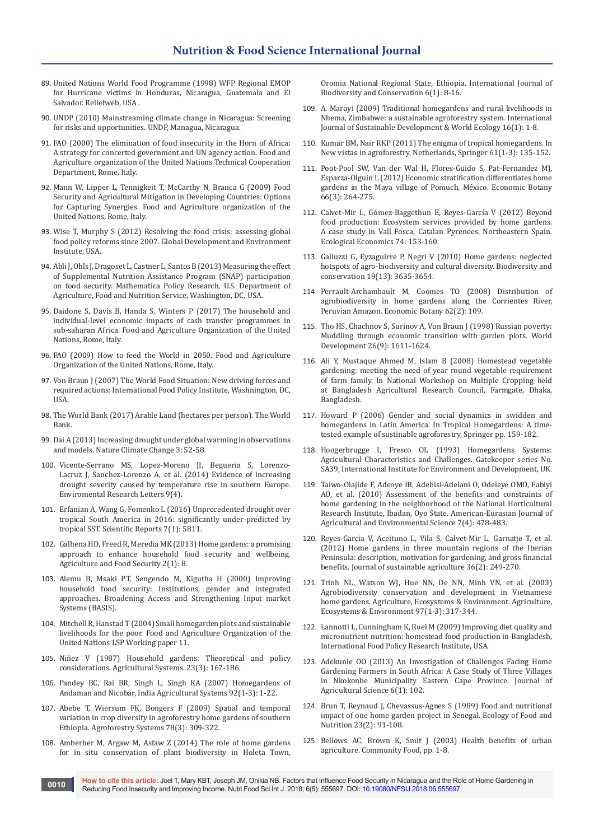- 89. United Nations World Food Programme (1998) WFP Regional EMOP for Hurricane victims in Honduras, Nicaragua, Guatemala and El Salvador. Reliefweb, USA .
- 90. UNDP (2010) Mainstreaming climate change in Nicaragua: Screening for risks and opportunities. UNDP, Managua, Nicaragua.
- 91. FAO (2000) The elimination of food insecurity in the Horn of Africa: A strategy for concerted government and UN agency action. Food and Agriculture organization of the United Nations Technical Cooperation Department, Rome, Italy.
- 92. Mann W, Lipper L, Tennigkeit T, McCarthy N, Branca G (2009) Food Security and Agricultural Mitigation in Developing Countries: Options for Capturing Synergies. Food and Agriculture organization of the United Nations, Rome, Italy.
- 93. Wise T, Murphy S (2012) Resolving the food crisis: assessing global food policy reforms since 2007. Global Development and Environment Institute, USA.
- 94. Abli J, Ohls J, Dragoset L, Castner L, Santos B (2013) Measuring the effect of Supplemental Nutrition Assistance Program (SNAP) participation on food security. Mathematica Policy Research, U.S. Department of Agriculture, Food and Nutrition Service, Washington, DC, USA.
- 95. Daidone S, Davis B, Handa S, Winters P (2017) The household and individual-level economic impacts of cash transfer programmes in sub-saharan Africa. Food and Agriculture Organization of the United Nations, Rome, Italy.
- 96. FAO (2009) How to feed the World in 2050. Food and Agriculture Organization of the United Nations, Rome, Italy.
- 97. Von Braun J (2007) The World Food Situation: New driving forces and required actions: International Food Policy Institute, Washnington, DC, USA.
- 98. [The World Bank \(2017\) Arable Land \(hectares per person\). The World](https://data.worldbank.org/indicator/AG.LND.ARBL.HA.PC)  [Bank.](https://data.worldbank.org/indicator/AG.LND.ARBL.HA.PC)
- 99. [Dai A \(2013\) Increasing drought under global warming in observations](https://www.nature.com/articles/nclimate1633)  [and models. Nature Climate Change 3: 52-58.](https://www.nature.com/articles/nclimate1633)
- 100. [Vicente-Serrano MS, Lopez-Moreno JI, Begueria S, Lorenzo-](http://iopscience.iop.org/article/10.1088/1748-9326/9/4/044001/meta)[Lacruz J, Sanchez-Lorenzo A, et al. \(2014\) Evidence of increasing](http://iopscience.iop.org/article/10.1088/1748-9326/9/4/044001/meta)  [drought severity caused by temperature rise in southern Europe.](http://iopscience.iop.org/article/10.1088/1748-9326/9/4/044001/meta)  [Enviromental Research Letters 9\(4\).](http://iopscience.iop.org/article/10.1088/1748-9326/9/4/044001/meta)
- 101. [Erfanian A, Wang G, Fomenko L \(2016\) Unprecedented drought over](https://www.ncbi.nlm.nih.gov/pubmed/28724896/)  [tropical South America in 2016: significantly under-predicted by](https://www.ncbi.nlm.nih.gov/pubmed/28724896/)  [tropical SST. Scientific Reports 7\(1\): 5811.](https://www.ncbi.nlm.nih.gov/pubmed/28724896/)
- 102. [Galhena HD, Freed R, Meredia MK \(2013\) Home gardens: a promising](https://agricultureandfoodsecurity.biomedcentral.com/articles/10.1186/2048-7010-2-8)  [approach to enhance household food security and wellbeing.](https://agricultureandfoodsecurity.biomedcentral.com/articles/10.1186/2048-7010-2-8)  [Agriculture and Food Security 2\(1\): 8.](https://agricultureandfoodsecurity.biomedcentral.com/articles/10.1186/2048-7010-2-8)
- 103. Alemu B, Msaki PT, Sengendo M, Kigutha H (2000) Improving household food security: Institutions, gender and integrated approaches. Broadening Access and Strengthening Input market Systems (BASIS).
- 104. Mitchell R, Hanstad T (2004) Small homegarden plots and sustainable livelihoods for the poor. Food and Agriculture Organization of the United Nations LSP Working paper 11.
- 105. [Niñez V \(1987\) Household gardens: Theoretical and policy](https://www.sciencedirect.com/science/article/pii/0308521X87900643)  [considerations. Agricultural Systems. 23\(3\): 167-186.](https://www.sciencedirect.com/science/article/pii/0308521X87900643)
- 106. [Pandey BC, Rai BR, Singh L, Singh KA \(2007\) Homegardens of](https://www.sciencedirect.com/science/article/pii/S0308521X0600014X)  [Andaman and Nicobar, India Agricultural Systems 92\(1-3\): 1-22.](https://www.sciencedirect.com/science/article/pii/S0308521X0600014X)
- 107. [Abebe T, Wiersum FK, Bongers F \(2009\) Spatial and temporal](https://link.springer.com/article/10.1007/s10457-009-9246-6)  [variation in crop diversity in agroforestry home gardens of southern](https://link.springer.com/article/10.1007/s10457-009-9246-6)  [Ethiopia. Agroforestry Systems 78\(3\): 309-322.](https://link.springer.com/article/10.1007/s10457-009-9246-6)
- 108. [Amberber M, Argaw M, Asfaw Z \(2014\) The role of home gardens](https://www.academicjournals.org/journal/IJBC/article-full-text-pdf/1DE65C442147)  [for in situ conservation of plant biodiversity in Holeta Town,](https://www.academicjournals.org/journal/IJBC/article-full-text-pdf/1DE65C442147)

[Oromia National Regional State, Ethiopia. International Journal of](https://www.academicjournals.org/journal/IJBC/article-full-text-pdf/1DE65C442147)  [Biodiversity and Conservation 6\(1\): 8-16.](https://www.academicjournals.org/journal/IJBC/article-full-text-pdf/1DE65C442147)

- 109. [A. Maroyi \(2009\) Traditional homegardens and rural livelihoods in](https://www.tandfonline.com/doi/abs/10.1080/13504500902745895)  [Nhema, Zimbabwe: a sustainable agroforestry system. International](https://www.tandfonline.com/doi/abs/10.1080/13504500902745895)  [Journal of Sustainable Development & World Ecology 16\(1\): 1-8.](https://www.tandfonline.com/doi/abs/10.1080/13504500902745895)
- 110. [Kumar BM, Nair RKP \(2011\) The enigma of tropical homegardens. In](https://link.springer.com/article/10.1023/B:AGFO.0000028995.13227.ca)  [New vistas in agroforestry, Netherlands, Springer 61\(1-3\): 135-152.](https://link.springer.com/article/10.1023/B:AGFO.0000028995.13227.ca)
- 111. [Poot-Pool SW, Van der Wal H, Flores-Guido S, Pat-Fernandez MJ,](https://link.springer.com/article/10.1007/s12231-012-9206-3)  [Esparza-Olguin L \(2012\) Economic stratification differentiates home](https://link.springer.com/article/10.1007/s12231-012-9206-3)  [gardens in the Maya village of Pomuch, México. Economic Botany](https://link.springer.com/article/10.1007/s12231-012-9206-3)  [66\(3\): 264-275.](https://link.springer.com/article/10.1007/s12231-012-9206-3)
- 112. [Calvet-Mir L, Gómez-Baggethun E, Reyes-García V \(2012\) Beyond](https://www.sciencedirect.com/science/article/pii/S0921800911005271)  [food production: Ecosystem services provided by home gardens.](https://www.sciencedirect.com/science/article/pii/S0921800911005271)  [A case study in Vall Fosca, Catalan Pyrenees, Northeastern Spain.](https://www.sciencedirect.com/science/article/pii/S0921800911005271)  [Ecological Economics 74: 153-160.](https://www.sciencedirect.com/science/article/pii/S0921800911005271)
- 113. [Galluzzi G, Eyzaguirre P, Negri V \(2010\) Home gardens: neglected](https://link.springer.com/article/10.1007/s10531-010-9919-5)  [hotspots of agro-biodiversity and cultural diversity. Biodiversity and](https://link.springer.com/article/10.1007/s10531-010-9919-5)  [conservation 19\(13\): 3635-3654.](https://link.springer.com/article/10.1007/s10531-010-9919-5)
- 114. [Perrault-Archambault M, Coomes TO \(2008\) Distribution of](https://link.springer.com/article/10.1007/s12231-008-9010-2)  [agrobiodiversity in home gardens along the Corrientes River,](https://link.springer.com/article/10.1007/s12231-008-9010-2)  [Peruvian Amazon. Economic Botany 62\(2\): 109.](https://link.springer.com/article/10.1007/s12231-008-9010-2)
- 115. [Tho HS, Chachnov S, Surinov A, Von Braun J \(1998\) Russian poverty:](https://www.sciencedirect.com/science/article/pii/S0305750X98000837)  [Muddling through economic transition with garden plots. World](https://www.sciencedirect.com/science/article/pii/S0305750X98000837)  [Development 26\(9\): 1611-1624.](https://www.sciencedirect.com/science/article/pii/S0305750X98000837)
- 116. Ali Y, Mustaque Ahmed M, Islam B (2008) Homestead vegetable gardening: meeting the need of year round vegetable requirement of farm family. In National Workshop on Multiple Cropping held at Bangladesh Agricultural Research Council, Farmgate, Dhaka, Bangladesh.
- 117. Howard P (2006) Gender and social dynamics in swidden and homegardens in Latin America. In Tropical Homegardens: A timetested example of sustinable agroforestry, Springer pp. 159-182.
- 118. Hoogerbrugge I, Fresco OL (1993) Homegardens Systems: Agricultural Characteristics and Challenges. Gatekeeper series No. SA39, International Institute for Environment and Development, UK.
- 119. [Taiwo-Olajide F, Adeoye IB, Adebisi-Adelani O, Odeleye OMO, Fabiyi](https://www.idosi.org/aejaes/jaes7(4)/16.pdf)  [AO, et al. \(2010\) Assessment of the benefits and constraints of](https://www.idosi.org/aejaes/jaes7(4)/16.pdf)  [home gardening in the neighborhood of the National Horticultural](https://www.idosi.org/aejaes/jaes7(4)/16.pdf)  [Research Institute, Ibadan, Oyo State. American-Eurasian Journal of](https://www.idosi.org/aejaes/jaes7(4)/16.pdf)  [Agricultural and Environmental Science 7\(4\): 478-483.](https://www.idosi.org/aejaes/jaes7(4)/16.pdf)
- 120. [Reyes-Garcia V, Aceituno L, Vila S, Calvet-Mir L, Garnatje T, et al.](http://icta.uab.cat/etnoecologia/Docs/%5B268%5D-Reyes-Garcia.Description_JSA12.pdf)  [\(2012\) Home gardens in three mountain regions of the Iberian](http://icta.uab.cat/etnoecologia/Docs/%5B268%5D-Reyes-Garcia.Description_JSA12.pdf)  [Peninsula: description, motivation for gardening, and gross financial](http://icta.uab.cat/etnoecologia/Docs/%5B268%5D-Reyes-Garcia.Description_JSA12.pdf)  [benefits. Journal of sustainable agriculture 36\(2\): 249-270.](http://icta.uab.cat/etnoecologia/Docs/%5B268%5D-Reyes-Garcia.Description_JSA12.pdf)
- 121. [Trinh NL, Watson WJ, Hue NN, De NN, Minh VN, et al. \(2003\)](https://www.sciencedirect.com/science/article/pii/S0167880902002281)  [Agrobiodiversity conservation and development in Vietnamese](https://www.sciencedirect.com/science/article/pii/S0167880902002281)  [home gardens. Agriculture, Ecosystems & Environment. Agriculture,](https://www.sciencedirect.com/science/article/pii/S0167880902002281)  [Ecosystems & Environment 97\(1-3\): 317-344.](https://www.sciencedirect.com/science/article/pii/S0167880902002281)
- 122. Lannotti L, Cunningham K, Ruel M (2009) Improving diet quality and micronutrient nutrition: homestead food production in Bangladesh, International Food Policy Research Institute, USA.
- 123. [Adekunle OO \(2013\) An Investigation of Challenges Facing Home](http://www.ccsenet.org/journal/index.php/jas/article/view/29933)  [Gardening Farmers in South Africa: A Case Study of Three Villages](http://www.ccsenet.org/journal/index.php/jas/article/view/29933)  [in Nkokonbe Municipality Eastern Cape Province. Journal of](http://www.ccsenet.org/journal/index.php/jas/article/view/29933)  [Agricultural Science 6\(1\): 102.](http://www.ccsenet.org/journal/index.php/jas/article/view/29933)
- 124. [Brun T, Reynaud J, Chevassus-Agnes S \(1989\) Food and nutritional](https://www.tandfonline.com/doi/abs/10.1080/03670244.1989.9991092)  [impact of one home garden project in Senegal. Ecology of Food and](https://www.tandfonline.com/doi/abs/10.1080/03670244.1989.9991092)  [Nutrition 23\(2\): 91-108.](https://www.tandfonline.com/doi/abs/10.1080/03670244.1989.9991092)
- 125. Bellows AC, Brown K, Smit J (2003) Health benefits of urban agriculture. Community Food, pp. 1-8.

**How to cite this article:** Joel T, Mary KBT, Joseph JM, Onikia NB. Factors that Influence Food Security in Nicaragua and the Role of Home Gardening in Reducing Food Insecurity and Improving Income. Nutri Food Sci Int J. 2018; 6(5): 555697. DOI: [10.19080/NFSIJ.2018.06.555697](http://dx.doi.org/10.19080/NFSIJ.2018.06.555697). **Proving Food Insecurity and Improving Income.** Nutri Food Sci Int J. 2018; 6(5): 555697. DOI: 10